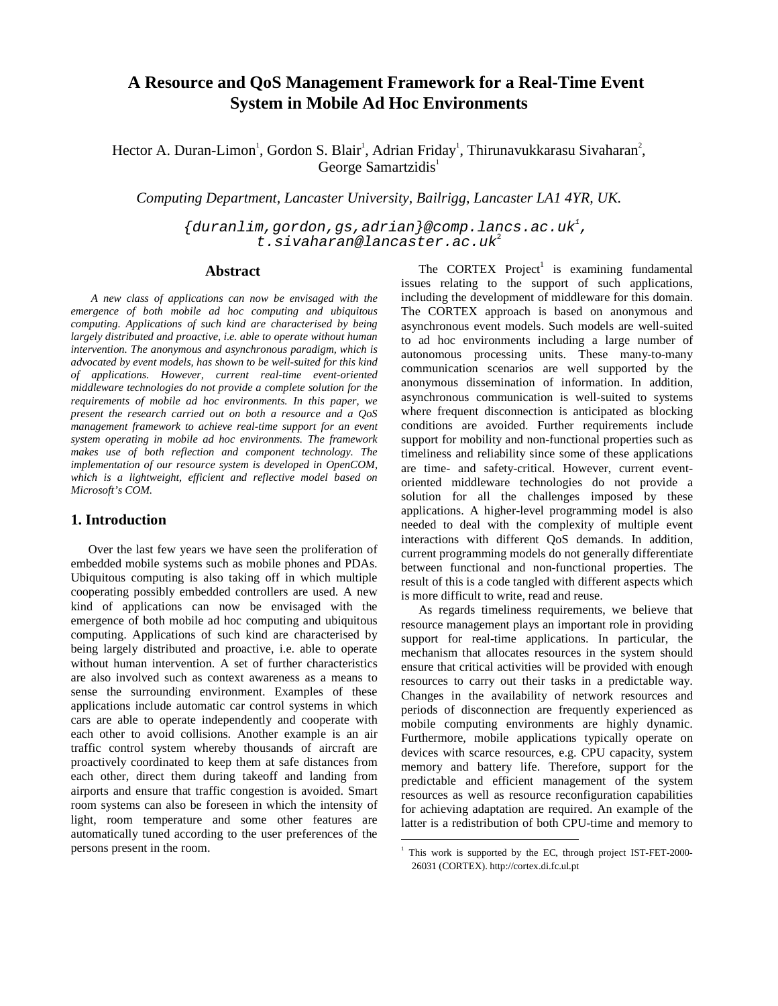# **A Resource and QoS Management Framework for a Real-Time Event System in Mobile Ad Hoc Environments**

Hector A. Duran-Limon<sup>1</sup>, Gordon S. Blair<sup>1</sup>, Adrian Friday<sup>1</sup>, Thirunavukkarasu Sivaharan<sup>2</sup>, George Samartzidis<sup>1</sup>

*Computing Department, Lancaster University, Bailrigg, Lancaster LA1 4YR, UK.*

 $\{$ duranlim,gordon,gs,adrian $\}$ @comp.lancs.ac.uk $^{\text{1}}$ , t.sivaharan@lancaster.ac.uk 2

 $\overline{a}$ 

### **Abstract**

*A new class of applications can now be envisaged with the emergence of both mobile ad hoc computing and ubiquitous computing. Applications of such kind are characterised by being largely distributed and proactive, i.e. able to operate without human intervention. The anonymous and asynchronous paradigm, which is advocated by event models, has shown to be well-suited for this kind of applications. However, current real-time event-oriented middleware technologies do not provide a complete solution for the requirements of mobile ad hoc environments. In this paper, we present the research carried out on both a resource and a QoS management framework to achieve real-time support for an event system operating in mobile ad hoc environments. The framework makes use of both reflection and component technology. The implementation of our resource system is developed in OpenCOM, which is a lightweight, efficient and reflective model based on Microsoft's COM.*

# **1. Introduction**

Over the last few years we have seen the proliferation of embedded mobile systems such as mobile phones and PDAs. Ubiquitous computing is also taking off in which multiple cooperating possibly embedded controllers are used. A new kind of applications can now be envisaged with the emergence of both mobile ad hoc computing and ubiquitous computing. Applications of such kind are characterised by being largely distributed and proactive, i.e. able to operate without human intervention. A set of further characteristics are also involved such as context awareness as a means to sense the surrounding environment. Examples of these applications include automatic car control systems in which cars are able to operate independently and cooperate with each other to avoid collisions. Another example is an air traffic control system whereby thousands of aircraft are proactively coordinated to keep them at safe distances from each other, direct them during takeoff and landing from airports and ensure that traffic congestion is avoided. Smart room systems can also be foreseen in which the intensity of light, room temperature and some other features are automatically tuned according to the user preferences of the persons present in the room.

The CORTEX Project<sup>1</sup> is examining fundamental issues relating to the support of such applications, including the development of middleware for this domain. The CORTEX approach is based on anonymous and asynchronous event models. Such models are well-suited to ad hoc environments including a large number of autonomous processing units. These many-to-many communication scenarios are well supported by the anonymous dissemination of information. In addition, asynchronous communication is well-suited to systems where frequent disconnection is anticipated as blocking conditions are avoided. Further requirements include support for mobility and non-functional properties such as timeliness and reliability since some of these applications are time- and safety-critical. However, current eventoriented middleware technologies do not provide a solution for all the challenges imposed by these applications. A higher-level programming model is also needed to deal with the complexity of multiple event interactions with different QoS demands. In addition, current programming models do not generally differentiate between functional and non-functional properties. The result of this is a code tangled with different aspects which is more difficult to write, read and reuse.

As regards timeliness requirements, we believe that resource management plays an important role in providing support for real-time applications. In particular, the mechanism that allocates resources in the system should ensure that critical activities will be provided with enough resources to carry out their tasks in a predictable way. Changes in the availability of network resources and periods of disconnection are frequently experienced as mobile computing environments are highly dynamic. Furthermore, mobile applications typically operate on devices with scarce resources, e.g. CPU capacity, system memory and battery life. Therefore, support for the predictable and efficient management of the system resources as well as resource reconfiguration capabilities for achieving adaptation are required. An example of the latter is a redistribution of both CPU-time and memory to

<sup>1</sup> This work is supported by the EC, through project IST-FET-2000- 26031 (CORTEX). http://cortex.di.fc.ul.pt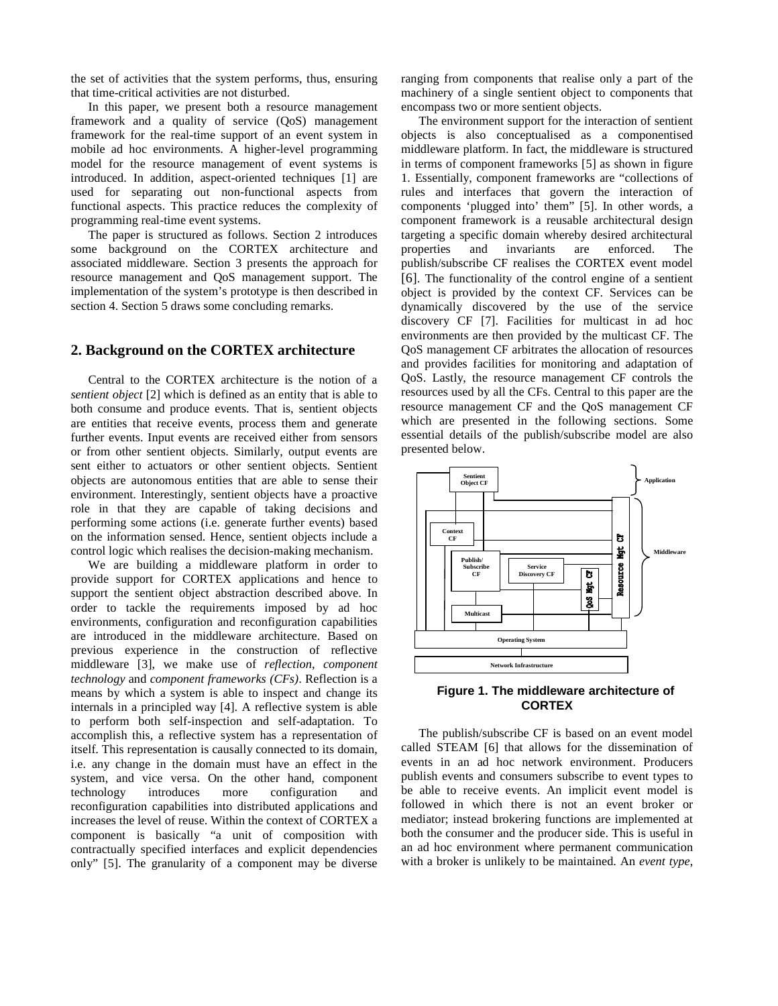the set of activities that the system performs, thus, ensuring that time-critical activities are not disturbed.

In this paper, we present both a resource management framework and a quality of service (QoS) management framework for the real-time support of an event system in mobile ad hoc environments. A higher-level programming model for the resource management of event systems is introduced. In addition, aspect-oriented techniques [1] are used for separating out non-functional aspects from functional aspects. This practice reduces the complexity of programming real-time event systems.

The paper is structured as follows. Section 2 introduces some background on the CORTEX architecture and associated middleware. Section 3 presents the approach for resource management and QoS management support. The implementation of the system's prototype is then described in section 4. Section 5 draws some concluding remarks.

# **2. Background on the CORTEX architecture**

Central to the CORTEX architecture is the notion of a *sentient object* [2] which is defined as an entity that is able to both consume and produce events. That is, sentient objects are entities that receive events, process them and generate further events. Input events are received either from sensors or from other sentient objects. Similarly, output events are sent either to actuators or other sentient objects. Sentient objects are autonomous entities that are able to sense their environment. Interestingly, sentient objects have a proactive role in that they are capable of taking decisions and performing some actions (i.e. generate further events) based on the information sensed. Hence, sentient objects include a control logic which realises the decision-making mechanism.

We are building a middleware platform in order to provide support for CORTEX applications and hence to support the sentient object abstraction described above. In order to tackle the requirements imposed by ad hoc environments, configuration and reconfiguration capabilities are introduced in the middleware architecture. Based on previous experience in the construction of reflective middleware [3], we make use of *reflection*, *component technology* and *component frameworks (CFs)*. Reflection is a means by which a system is able to inspect and change its internals in a principled way [4]. A reflective system is able to perform both self-inspection and self-adaptation. To accomplish this, a reflective system has a representation of itself. This representation is causally connected to its domain, i.e. any change in the domain must have an effect in the system, and vice versa. On the other hand, component technology introduces more configuration and reconfiguration capabilities into distributed applications and increases the level of reuse. Within the context of CORTEX a component is basically "a unit of composition with contractually specified interfaces and explicit dependencies only" [5]. The granularity of a component may be diverse

ranging from components that realise only a part of the machinery of a single sentient object to components that encompass two or more sentient objects.

The environment support for the interaction of sentient objects is also conceptualised as a componentised middleware platform. In fact, the middleware is structured in terms of component frameworks [5] as shown in figure 1. Essentially, component frameworks are "collections of rules and interfaces that govern the interaction of components 'plugged into' them" [5]. In other words, a component framework is a reusable architectural design targeting a specific domain whereby desired architectural properties and invariants are enforced. The publish/subscribe CF realises the CORTEX event model [6]. The functionality of the control engine of a sentient object is provided by the context CF. Services can be dynamically discovered by the use of the service discovery CF [7]. Facilities for multicast in ad hoc environments are then provided by the multicast CF. The QoS management CF arbitrates the allocation of resources and provides facilities for monitoring and adaptation of QoS. Lastly, the resource management CF controls the resources used by all the CFs. Central to this paper are the resource management CF and the QoS management CF which are presented in the following sections. Some essential details of the publish/subscribe model are also presented below.



**Figure 1. The middleware architecture of CORTEX**

The publish/subscribe CF is based on an event model called STEAM [6] that allows for the dissemination of events in an ad hoc network environment. Producers publish events and consumers subscribe to event types to be able to receive events. An implicit event model is followed in which there is not an event broker or mediator; instead brokering functions are implemented at both the consumer and the producer side. This is useful in an ad hoc environment where permanent communication with a broker is unlikely to be maintained. An *event type*,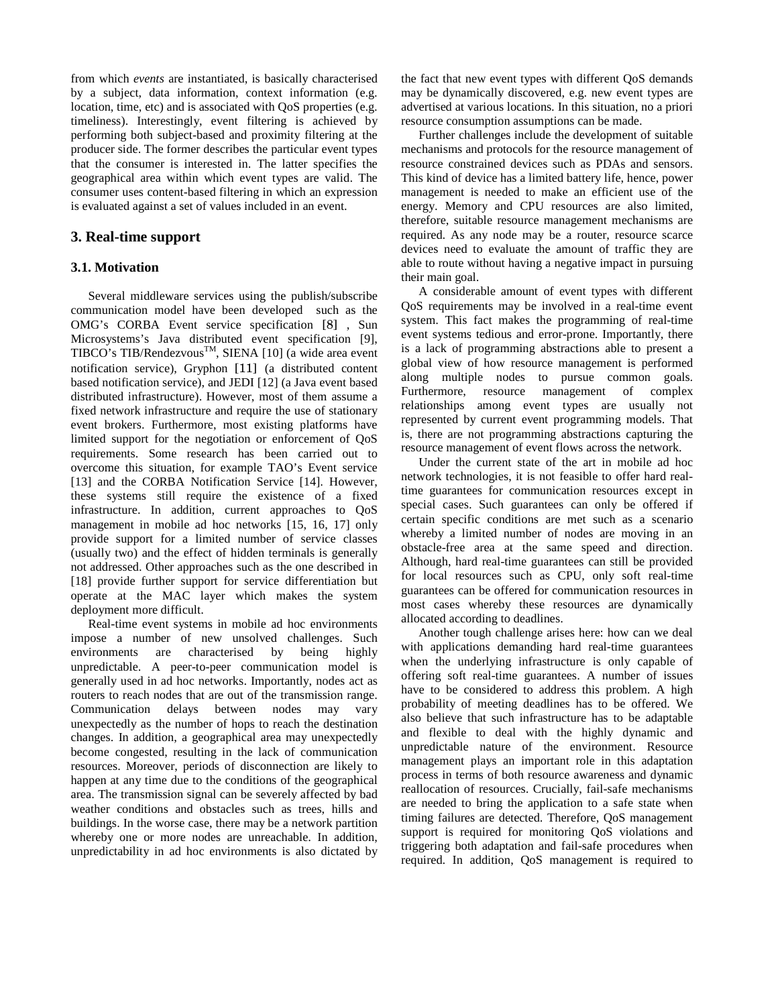from which *events* are instantiated, is basically characterised by a subject, data information, context information (e.g. location, time, etc) and is associated with OoS properties (e.g. timeliness). Interestingly, event filtering is achieved by performing both subject-based and proximity filtering at the producer side. The former describes the particular event types that the consumer is interested in. The latter specifies the geographical area within which event types are valid. The consumer uses content-based filtering in which an expression is evaluated against a set of values included in an event.

# **3. Real-time support**

# **3.1. Motivation**

Several middleware services using the publish/subscribe communication model have been developed such as the OMG's CORBA Event service specification [8] , Sun Microsystems's Java distributed event specification [9], TIBCO's TIB/Rendezvous<sup>™</sup>, SIENA [10] (a wide area event notification service), Gryphon [11] (a distributed content based notification service), and JEDI [12] (a Java event based distributed infrastructure). However, most of them assume a fixed network infrastructure and require the use of stationary event brokers. Furthermore, most existing platforms have limited support for the negotiation or enforcement of QoS requirements. Some research has been carried out to overcome this situation, for example TAO's Event service [13] and the CORBA Notification Service [14]. However, these systems still require the existence of a fixed infrastructure. In addition, current approaches to QoS management in mobile ad hoc networks [15, 16, 17] only provide support for a limited number of service classes (usually two) and the effect of hidden terminals is generally not addressed. Other approaches such as the one described in [18] provide further support for service differentiation but operate at the MAC layer which makes the system deployment more difficult.

Real-time event systems in mobile ad hoc environments impose a number of new unsolved challenges. Such environments are characterised by being highly unpredictable. A peer-to-peer communication model is generally used in ad hoc networks. Importantly, nodes act as routers to reach nodes that are out of the transmission range. Communication delays between nodes may vary unexpectedly as the number of hops to reach the destination changes. In addition, a geographical area may unexpectedly become congested, resulting in the lack of communication resources. Moreover, periods of disconnection are likely to happen at any time due to the conditions of the geographical area. The transmission signal can be severely affected by bad weather conditions and obstacles such as trees, hills and buildings. In the worse case, there may be a network partition whereby one or more nodes are unreachable. In addition, unpredictability in ad hoc environments is also dictated by

the fact that new event types with different QoS demands may be dynamically discovered, e.g. new event types are advertised at various locations. In this situation, no a priori resource consumption assumptions can be made.

Further challenges include the development of suitable mechanisms and protocols for the resource management of resource constrained devices such as PDAs and sensors. This kind of device has a limited battery life, hence, power management is needed to make an efficient use of the energy. Memory and CPU resources are also limited, therefore, suitable resource management mechanisms are required. As any node may be a router, resource scarce devices need to evaluate the amount of traffic they are able to route without having a negative impact in pursuing their main goal.

A considerable amount of event types with different QoS requirements may be involved in a real-time event system. This fact makes the programming of real-time event systems tedious and error-prone. Importantly, there is a lack of programming abstractions able to present a global view of how resource management is performed along multiple nodes to pursue common goals. Furthermore, resource management of complex relationships among event types are usually not represented by current event programming models. That is, there are not programming abstractions capturing the resource management of event flows across the network.

Under the current state of the art in mobile ad hoc network technologies, it is not feasible to offer hard realtime guarantees for communication resources except in special cases. Such guarantees can only be offered if certain specific conditions are met such as a scenario whereby a limited number of nodes are moving in an obstacle-free area at the same speed and direction. Although, hard real-time guarantees can still be provided for local resources such as CPU, only soft real-time guarantees can be offered for communication resources in most cases whereby these resources are dynamically allocated according to deadlines.

Another tough challenge arises here: how can we deal with applications demanding hard real-time guarantees when the underlying infrastructure is only capable of offering soft real-time guarantees. A number of issues have to be considered to address this problem. A high probability of meeting deadlines has to be offered. We also believe that such infrastructure has to be adaptable and flexible to deal with the highly dynamic and unpredictable nature of the environment. Resource management plays an important role in this adaptation process in terms of both resource awareness and dynamic reallocation of resources. Crucially, fail-safe mechanisms are needed to bring the application to a safe state when timing failures are detected. Therefore, QoS management support is required for monitoring QoS violations and triggering both adaptation and fail-safe procedures when required. In addition, QoS management is required to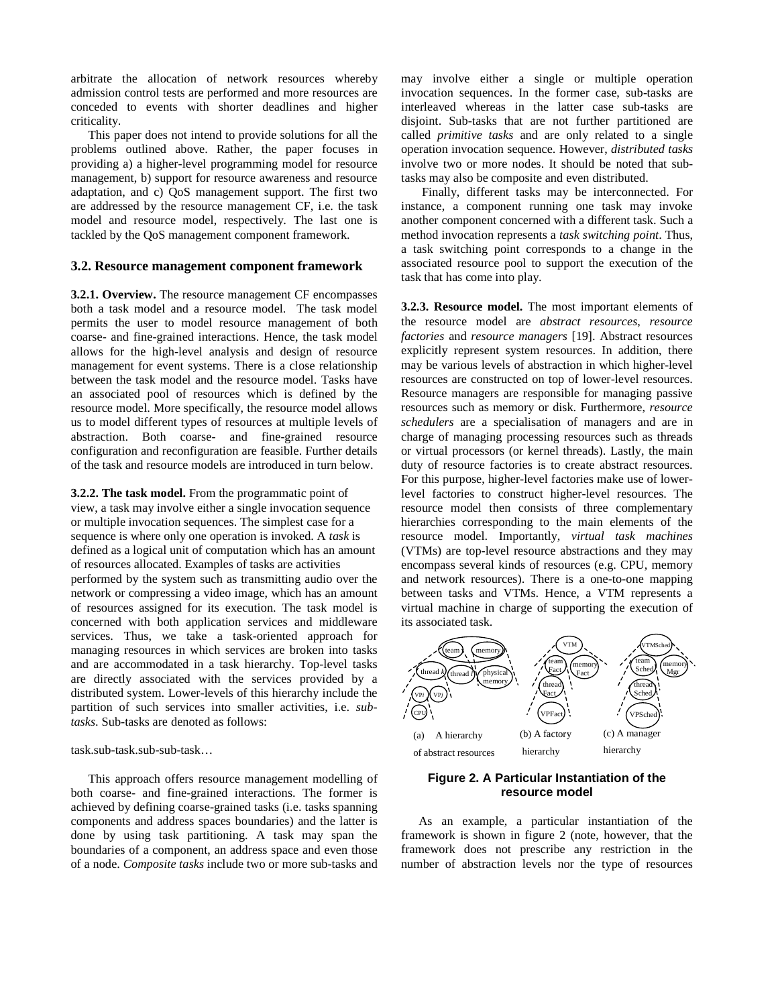arbitrate the allocation of network resources whereby admission control tests are performed and more resources are conceded to events with shorter deadlines and higher criticality.

This paper does not intend to provide solutions for all the problems outlined above. Rather, the paper focuses in providing a) a higher-level programming model for resource management, b) support for resource awareness and resource adaptation, and c) QoS management support. The first two are addressed by the resource management CF, i.e. the task model and resource model, respectively. The last one is tackled by the QoS management component framework.

### **3.2. Resource management component framework**

**3.2.1. Overview.** The resource management CF encompasses both a task model and a resource model. The task model permits the user to model resource management of both coarse- and fine-grained interactions. Hence, the task model allows for the high-level analysis and design of resource management for event systems. There is a close relationship between the task model and the resource model. Tasks have an associated pool of resources which is defined by the resource model. More specifically, the resource model allows us to model different types of resources at multiple levels of abstraction. Both coarse- and fine-grained resource configuration and reconfiguration are feasible. Further details of the task and resource models are introduced in turn below.

**3.2.2. The task model.** From the programmatic point of view, a task may involve either a single invocation sequence or multiple invocation sequences. The simplest case for a sequence is where only one operation is invoked. A *task* is defined as a logical unit of computation which has an amount of resources allocated. Examples of tasks are activities performed by the system such as transmitting audio over the network or compressing a video image, which has an amount of resources assigned for its execution. The task model is concerned with both application services and middleware services. Thus, we take a task-oriented approach for managing resources in which services are broken into tasks and are accommodated in a task hierarchy. Top-level tasks are directly associated with the services provided by a distributed system. Lower-levels of this hierarchy include the partition of such services into smaller activities, i.e. *subtasks*. Sub-tasks are denoted as follows:

#### task.sub-task.sub-sub-task…

This approach offers resource management modelling of both coarse- and fine-grained interactions. The former is achieved by defining coarse-grained tasks (i.e. tasks spanning components and address spaces boundaries) and the latter is done by using task partitioning. A task may span the boundaries of a component, an address space and even those of a node. *Composite tasks* include two or more sub-tasks and may involve either a single or multiple operation invocation sequences. In the former case, sub-tasks are interleaved whereas in the latter case sub-tasks are disjoint. Sub-tasks that are not further partitioned are called *primitive tasks* and are only related to a single operation invocation sequence. However, *distributed tasks* involve two or more nodes. It should be noted that subtasks may also be composite and even distributed.

Finally, different tasks may be interconnected. For instance, a component running one task may invoke another component concerned with a different task. Such a method invocation represents a *task switching point*. Thus, a task switching point corresponds to a change in the associated resource pool to support the execution of the task that has come into play.

**3.2.3. Resource model.** The most important elements of the resource model are *abstract resources*, *resource factories* and *resource managers* [19]. Abstract resources explicitly represent system resources. In addition, there may be various levels of abstraction in which higher-level resources are constructed on top of lower-level resources. Resource managers are responsible for managing passive resources such as memory or disk. Furthermore, *resource schedulers* are a specialisation of managers and are in charge of managing processing resources such as threads or virtual processors (or kernel threads). Lastly, the main duty of resource factories is to create abstract resources. For this purpose, higher-level factories make use of lowerlevel factories to construct higher-level resources. The resource model then consists of three complementary hierarchies corresponding to the main elements of the resource model. Importantly, *virtual task machines* (VTMs) are top-level resource abstractions and they may encompass several kinds of resources (e.g. CPU, memory and network resources). There is a one-to-one mapping between tasks and VTMs. Hence, a VTM represents a virtual machine in charge of supporting the execution of its associated task.



### **Figure 2. A Particular Instantiation of the resource model**

As an example, a particular instantiation of the framework is shown in figure 2 (note, however, that the framework does not prescribe any restriction in the number of abstraction levels nor the type of resources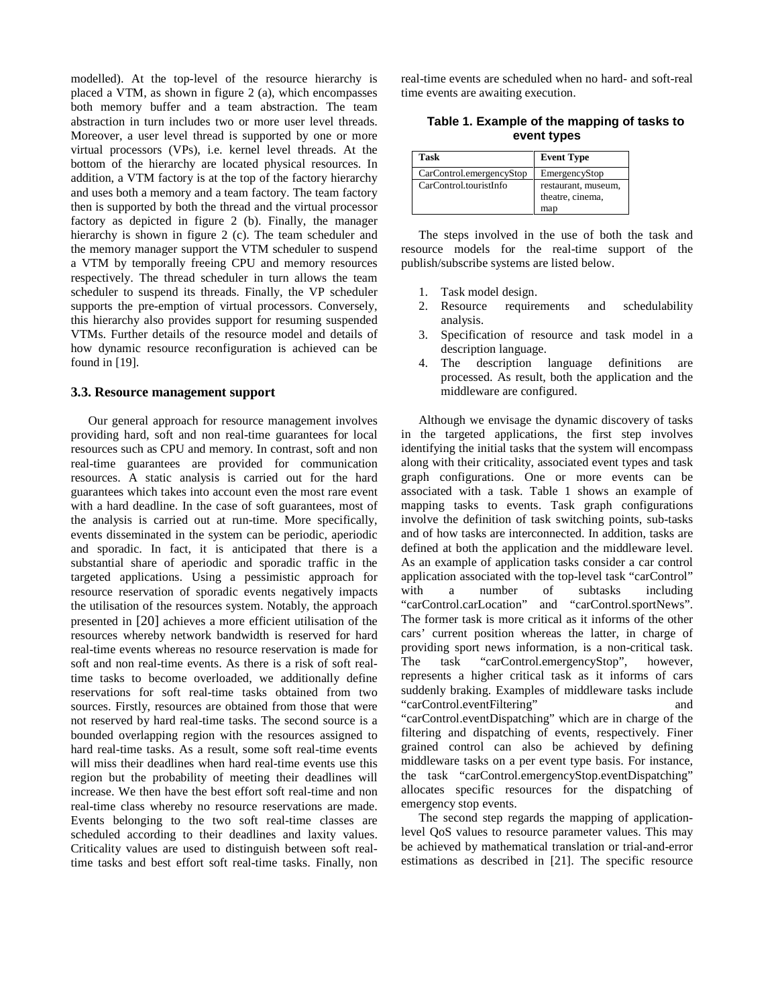modelled). At the top-level of the resource hierarchy is placed a VTM, as shown in figure 2 (a), which encompasses both memory buffer and a team abstraction. The team abstraction in turn includes two or more user level threads. Moreover, a user level thread is supported by one or more virtual processors (VPs), i.e. kernel level threads. At the bottom of the hierarchy are located physical resources. In addition, a VTM factory is at the top of the factory hierarchy and uses both a memory and a team factory. The team factory then is supported by both the thread and the virtual processor factory as depicted in figure 2 (b). Finally, the manager hierarchy is shown in figure 2 (c). The team scheduler and the memory manager support the VTM scheduler to suspend a VTM by temporally freeing CPU and memory resources respectively. The thread scheduler in turn allows the team scheduler to suspend its threads. Finally, the VP scheduler supports the pre-emption of virtual processors. Conversely, this hierarchy also provides support for resuming suspended VTMs. Further details of the resource model and details of how dynamic resource reconfiguration is achieved can be found in [19].

#### **3.3. Resource management support**

Our general approach for resource management involves providing hard, soft and non real-time guarantees for local resources such as CPU and memory. In contrast, soft and non real-time guarantees are provided for communication resources. A static analysis is carried out for the hard guarantees which takes into account even the most rare event with a hard deadline. In the case of soft guarantees, most of the analysis is carried out at run-time. More specifically, events disseminated in the system can be periodic, aperiodic and sporadic. In fact, it is anticipated that there is a substantial share of aperiodic and sporadic traffic in the targeted applications. Using a pessimistic approach for resource reservation of sporadic events negatively impacts the utilisation of the resources system. Notably, the approach presented in [20] achieves a more efficient utilisation of the resources whereby network bandwidth is reserved for hard real-time events whereas no resource reservation is made for soft and non real-time events. As there is a risk of soft realtime tasks to become overloaded, we additionally define reservations for soft real-time tasks obtained from two sources. Firstly, resources are obtained from those that were not reserved by hard real-time tasks. The second source is a bounded overlapping region with the resources assigned to hard real-time tasks. As a result, some soft real-time events will miss their deadlines when hard real-time events use this region but the probability of meeting their deadlines will increase. We then have the best effort soft real-time and non real-time class whereby no resource reservations are made. Events belonging to the two soft real-time classes are scheduled according to their deadlines and laxity values. Criticality values are used to distinguish between soft realtime tasks and best effort soft real-time tasks. Finally, non real-time events are scheduled when no hard- and soft-real time events are awaiting execution.

**Table 1. Example of the mapping of tasks to event types**

| Task                     | <b>Event Type</b>                       |
|--------------------------|-----------------------------------------|
| CarControl.emergencyStop | EmergencyStop                           |
| CarControl.touristInfo   | restaurant, museum,<br>theatre, cinema, |
|                          | map                                     |

The steps involved in the use of both the task and resource models for the real-time support of the publish/subscribe systems are listed below.

- 1. Task model design.
- 2. Resource requirements and schedulability analysis.
- 3. Specification of resource and task model in a description language.
- 4. The description language definitions are processed. As result, both the application and the middleware are configured.

Although we envisage the dynamic discovery of tasks in the targeted applications, the first step involves identifying the initial tasks that the system will encompass along with their criticality, associated event types and task graph configurations. One or more events can be associated with a task. Table 1 shows an example of mapping tasks to events. Task graph configurations involve the definition of task switching points, sub-tasks and of how tasks are interconnected. In addition, tasks are defined at both the application and the middleware level. As an example of application tasks consider a car control application associated with the top-level task "carControl" with a number of subtasks including "carControl.carLocation" and "carControl.sportNews". The former task is more critical as it informs of the other cars' current position whereas the latter, in charge of providing sport news information, is a non-critical task. The task "carControl.emergencyStop", however, represents a higher critical task as it informs of cars suddenly braking. Examples of middleware tasks include "carControl.eventFiltering" and "carControl.eventDispatching" which are in charge of the filtering and dispatching of events, respectively. Finer grained control can also be achieved by defining middleware tasks on a per event type basis. For instance, the task "carControl.emergencyStop.eventDispatching" allocates specific resources for the dispatching of emergency stop events.

The second step regards the mapping of applicationlevel QoS values to resource parameter values. This may be achieved by mathematical translation or trial-and-error estimations as described in [21]. The specific resource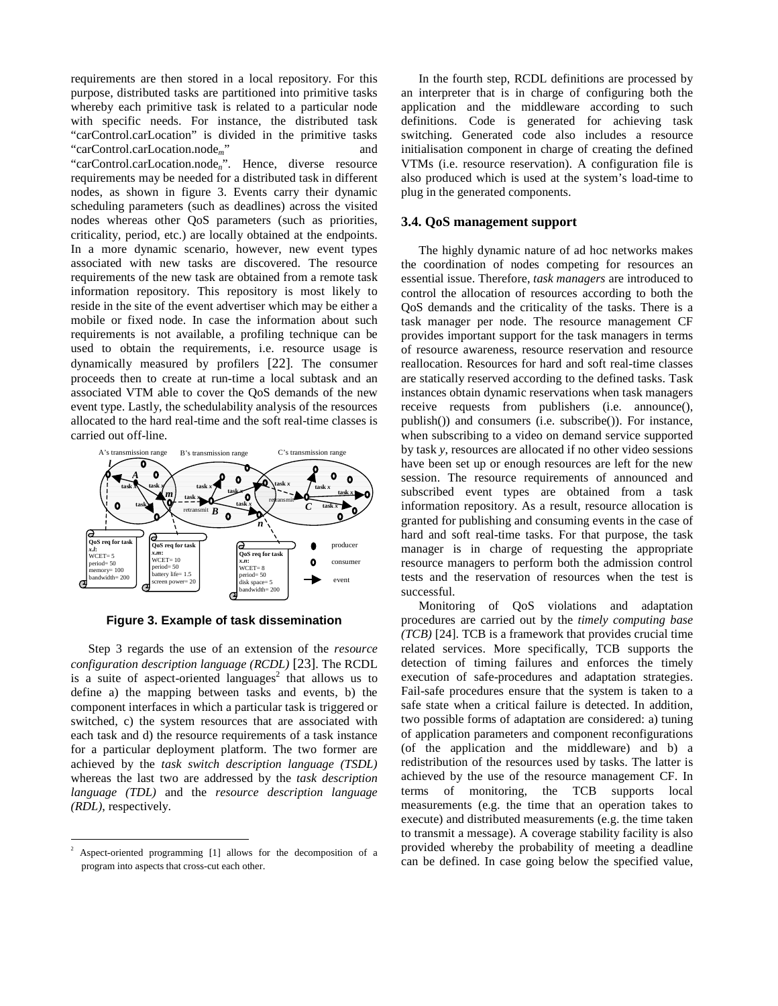requirements are then stored in a local repository. For this purpose, distributed tasks are partitioned into primitive tasks whereby each primitive task is related to a particular node with specific needs. For instance, the distributed task "carControl.carLocation" is divided in the primitive tasks "carControl.carLocation.node*m*" and "carControl.carLocation.node*n*". Hence, diverse resource requirements may be needed for a distributed task in different nodes, as shown in figure 3. Events carry their dynamic scheduling parameters (such as deadlines) across the visited nodes whereas other QoS parameters (such as priorities, criticality, period, etc.) are locally obtained at the endpoints. In a more dynamic scenario, however, new event types associated with new tasks are discovered. The resource requirements of the new task are obtained from a remote task information repository. This repository is most likely to reside in the site of the event advertiser which may be either a mobile or fixed node. In case the information about such requirements is not available, a profiling technique can be used to obtain the requirements, i.e. resource usage is dynamically measured by profilers [22]. The consumer proceeds then to create at run-time a local subtask and an associated VTM able to cover the QoS demands of the new event type. Lastly, the schedulability analysis of the resources allocated to the hard real-time and the soft real-time classes is carried out off-line.



**Figure 3. Example of task dissemination**

Step 3 regards the use of an extension of the *resource configuration description language (RCDL)* [23]. The RCDL is a suite of aspect-oriented languages<sup>2</sup> that allows us to define a) the mapping between tasks and events, b) the component interfaces in which a particular task is triggered or switched, c) the system resources that are associated with each task and d) the resource requirements of a task instance for a particular deployment platform. The two former are achieved by the *task switch description language (TSDL)* whereas the last two are addressed by the *task description language (TDL)* and the *resource description language (RDL)*, respectively.

j

In the fourth step, RCDL definitions are processed by an interpreter that is in charge of configuring both the application and the middleware according to such definitions. Code is generated for achieving task switching. Generated code also includes a resource initialisation component in charge of creating the defined VTMs (i.e. resource reservation). A configuration file is also produced which is used at the system's load-time to plug in the generated components.

### **3.4. QoS management support**

The highly dynamic nature of ad hoc networks makes the coordination of nodes competing for resources an essential issue. Therefore, *task managers* are introduced to control the allocation of resources according to both the QoS demands and the criticality of the tasks. There is a task manager per node. The resource management CF provides important support for the task managers in terms of resource awareness, resource reservation and resource reallocation. Resources for hard and soft real-time classes are statically reserved according to the defined tasks. Task instances obtain dynamic reservations when task managers receive requests from publishers (i.e. announce(), publish()) and consumers (i.e. subscribe()). For instance, when subscribing to a video on demand service supported by task *y*, resources are allocated if no other video sessions have been set up or enough resources are left for the new session. The resource requirements of announced and subscribed event types are obtained from a task information repository. As a result, resource allocation is granted for publishing and consuming events in the case of hard and soft real-time tasks. For that purpose, the task manager is in charge of requesting the appropriate resource managers to perform both the admission control tests and the reservation of resources when the test is successful.

Monitoring of QoS violations and adaptation procedures are carried out by the *timely computing base (TCB)* [24]. TCB is a framework that provides crucial time related services. More specifically, TCB supports the detection of timing failures and enforces the timely execution of safe-procedures and adaptation strategies. Fail-safe procedures ensure that the system is taken to a safe state when a critical failure is detected. In addition, two possible forms of adaptation are considered: a) tuning of application parameters and component reconfigurations (of the application and the middleware) and b) a redistribution of the resources used by tasks. The latter is achieved by the use of the resource management CF. In terms of monitoring, the TCB supports local measurements (e.g. the time that an operation takes to execute) and distributed measurements (e.g. the time taken to transmit a message). A coverage stability facility is also provided whereby the probability of meeting a deadline can be defined. In case going below the specified value,

<sup>2</sup> Aspect-oriented programming [1] allows for the decomposition of a program into aspects that cross-cut each other.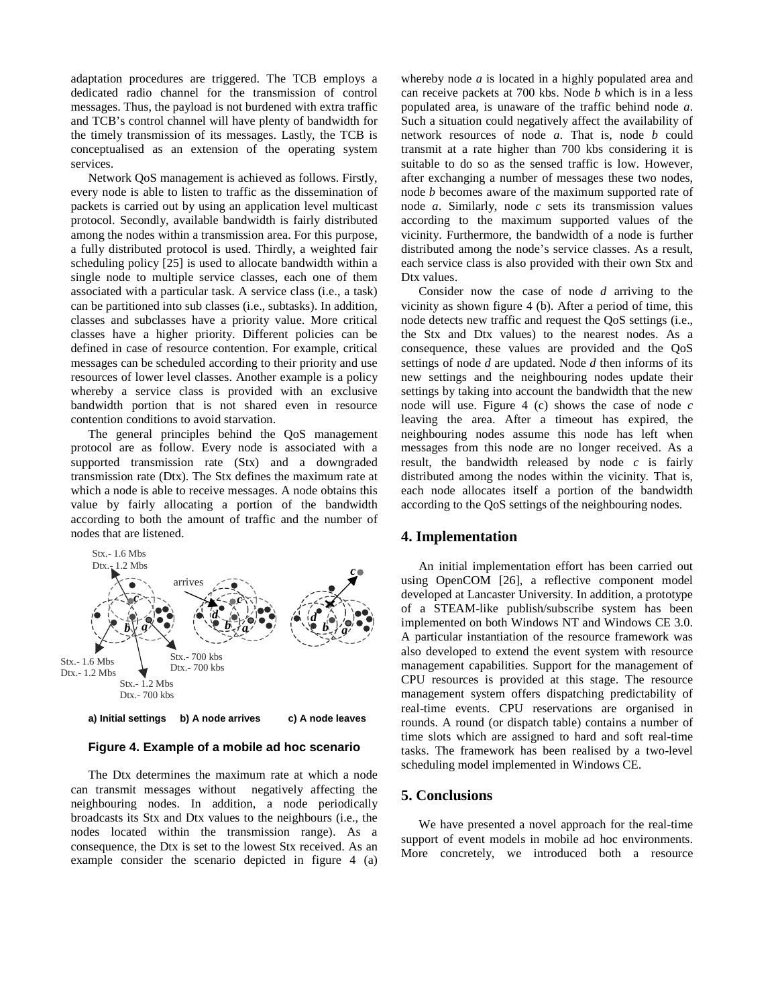adaptation procedures are triggered. The TCB employs a dedicated radio channel for the transmission of control messages. Thus, the payload is not burdened with extra traffic and TCB's control channel will have plenty of bandwidth for the timely transmission of its messages. Lastly, the TCB is conceptualised as an extension of the operating system services.

Network QoS management is achieved as follows. Firstly, every node is able to listen to traffic as the dissemination of packets is carried out by using an application level multicast protocol. Secondly, available bandwidth is fairly distributed among the nodes within a transmission area. For this purpose, a fully distributed protocol is used. Thirdly, a weighted fair scheduling policy [25] is used to allocate bandwidth within a single node to multiple service classes, each one of them associated with a particular task. A service class (i.e., a task) can be partitioned into sub classes (i.e., subtasks). In addition, classes and subclasses have a priority value. More critical classes have a higher priority. Different policies can be defined in case of resource contention. For example, critical messages can be scheduled according to their priority and use resources of lower level classes. Another example is a policy whereby a service class is provided with an exclusive bandwidth portion that is not shared even in resource contention conditions to avoid starvation.

The general principles behind the QoS management protocol are as follow. Every node is associated with a supported transmission rate (Stx) and a downgraded transmission rate (Dtx). The Stx defines the maximum rate at which a node is able to receive messages. A node obtains this value by fairly allocating a portion of the bandwidth according to both the amount of traffic and the number of nodes that are listened.



**a) Initial settings b) A node arrives c) A node leaves**

**Figure 4. Example of a mobile ad hoc scenario**

The Dtx determines the maximum rate at which a node can transmit messages without negatively affecting the neighbouring nodes. In addition, a node periodically broadcasts its Stx and Dtx values to the neighbours (i.e., the nodes located within the transmission range). As a consequence, the Dtx is set to the lowest Stx received. As an example consider the scenario depicted in figure 4 (a) whereby node *a* is located in a highly populated area and can receive packets at 700 kbs. Node *b* which is in a less populated area, is unaware of the traffic behind node *a*. Such a situation could negatively affect the availability of network resources of node *a*. That is, node *b* could transmit at a rate higher than 700 kbs considering it is suitable to do so as the sensed traffic is low. However, after exchanging a number of messages these two nodes, node *b* becomes aware of the maximum supported rate of node *a*. Similarly, node *c* sets its transmission values according to the maximum supported values of the vicinity. Furthermore, the bandwidth of a node is further distributed among the node's service classes. As a result, each service class is also provided with their own Stx and Dtx values.

Consider now the case of node *d* arriving to the vicinity as shown figure 4 (b). After a period of time, this node detects new traffic and request the QoS settings (i.e., the Stx and Dtx values) to the nearest nodes. As a consequence, these values are provided and the QoS settings of node *d* are updated. Node *d* then informs of its new settings and the neighbouring nodes update their settings by taking into account the bandwidth that the new node will use. Figure 4 (c) shows the case of node *c* leaving the area. After a timeout has expired, the neighbouring nodes assume this node has left when messages from this node are no longer received. As a result, the bandwidth released by node *c* is fairly distributed among the nodes within the vicinity. That is, each node allocates itself a portion of the bandwidth according to the QoS settings of the neighbouring nodes.

# **4. Implementation**

An initial implementation effort has been carried out using OpenCOM [26], a reflective component model developed at Lancaster University. In addition, a prototype of a STEAM-like publish/subscribe system has been implemented on both Windows NT and Windows CE 3.0. A particular instantiation of the resource framework was also developed to extend the event system with resource management capabilities. Support for the management of CPU resources is provided at this stage. The resource management system offers dispatching predictability of real-time events. CPU reservations are organised in rounds. A round (or dispatch table) contains a number of time slots which are assigned to hard and soft real-time tasks. The framework has been realised by a two-level scheduling model implemented in Windows CE.

## **5. Conclusions**

We have presented a novel approach for the real-time support of event models in mobile ad hoc environments. More concretely, we introduced both a resource